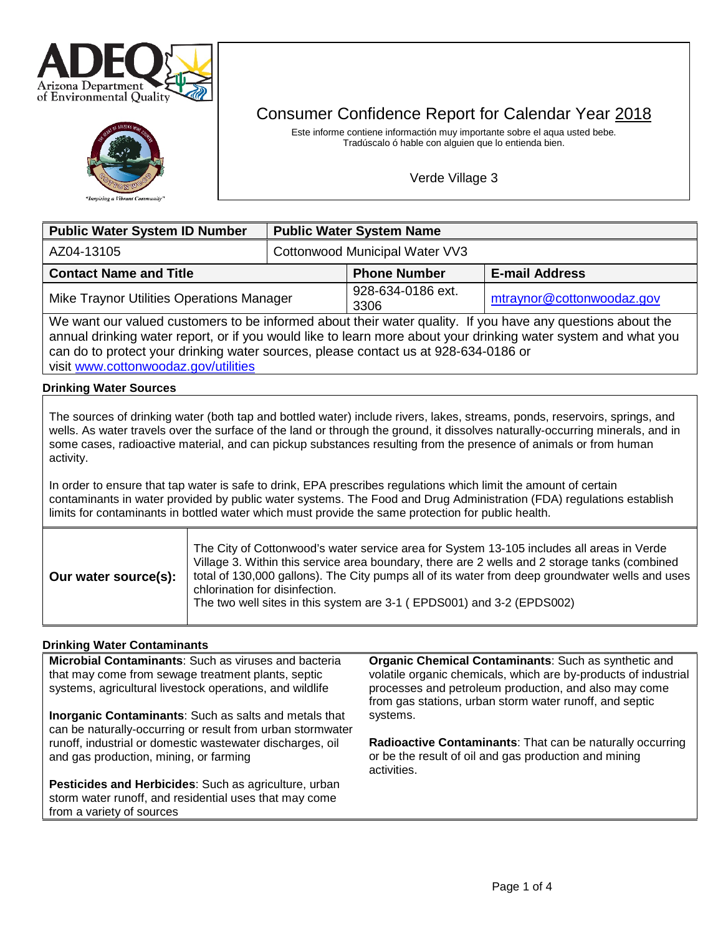



# Consumer Confidence Report for Calendar Year 2018

Este informe contiene informactión muy importante sobre el aqua usted bebe. Tradúscalo ó hable con alguien que lo entienda bien.

Verde Village 3

| <b>Public Water System ID Number</b>                                                                                                                                                                                                                                                                                                                                                                                             |  | <b>Public Water System Name</b> |                           |                           |  |  |  |
|----------------------------------------------------------------------------------------------------------------------------------------------------------------------------------------------------------------------------------------------------------------------------------------------------------------------------------------------------------------------------------------------------------------------------------|--|---------------------------------|---------------------------|---------------------------|--|--|--|
| AZ04-13105                                                                                                                                                                                                                                                                                                                                                                                                                       |  | Cottonwood Municipal Water VV3  |                           |                           |  |  |  |
| <b>Contact Name and Title</b>                                                                                                                                                                                                                                                                                                                                                                                                    |  |                                 | <b>Phone Number</b>       | <b>E-mail Address</b>     |  |  |  |
| Mike Traynor Utilities Operations Manager                                                                                                                                                                                                                                                                                                                                                                                        |  |                                 | 928-634-0186 ext.<br>3306 | mtraynor@cottonwoodaz.gov |  |  |  |
| We want our valued customers to be informed about their water quality. If you have any questions about the<br>annual drinking water report, or if you would like to learn more about your drinking water system and what you<br>can do to protect your drinking water sources, please contact us at 928-634-0186 or<br>visit www.cottonwoodaz.gov/utilities                                                                      |  |                                 |                           |                           |  |  |  |
| <b>Drinking Water Sources</b>                                                                                                                                                                                                                                                                                                                                                                                                    |  |                                 |                           |                           |  |  |  |
| The sources of drinking water (both tap and bottled water) include rivers, lakes, streams, ponds, reservoirs, springs, and<br>wells. As water travels over the surface of the land or through the ground, it dissolves naturally-occurring minerals, and in<br>some cases, radioactive material, and can pickup substances resulting from the presence of animals or from human<br>activity.                                     |  |                                 |                           |                           |  |  |  |
| In order to ensure that tap water is safe to drink, EPA prescribes regulations which limit the amount of certain<br>contaminants in water provided by public water systems. The Food and Drug Administration (FDA) regulations establish<br>limits for contaminants in bottled water which must provide the same protection for public health.                                                                                   |  |                                 |                           |                           |  |  |  |
| The City of Cottonwood's water service area for System 13-105 includes all areas in Verde<br>Village 3. Within this service area boundary, there are 2 wells and 2 storage tanks (combined<br>total of 130,000 gallons). The City pumps all of its water from deep groundwater wells and uses<br>Our water source(s):<br>chlorination for disinfection.<br>The two well sites in this system are 3-1 (EPDS001) and 3-2 (EPDS002) |  |                                 |                           |                           |  |  |  |

# **Drinking Water Contaminants**

**Microbial Contaminants**: Such as viruses and bacteria that may come from sewage treatment plants, septic systems, agricultural livestock operations, and wildlife **Inorganic Contaminants**: Such as salts and metals that can be naturally-occurring or result from urban stormwater runoff, industrial or domestic wastewater discharges, oil and gas production, mining, or farming systems. activities.

**Pesticides and Herbicides**: Such as agriculture, urban storm water runoff, and residential uses that may come from a variety of sources

**Organic Chemical Contaminants**: Such as synthetic and volatile organic chemicals, which are by-products of industrial processes and petroleum production, and also may come from gas stations, urban storm water runoff, and septic

**Radioactive Contaminants**: That can be naturally occurring or be the result of oil and gas production and mining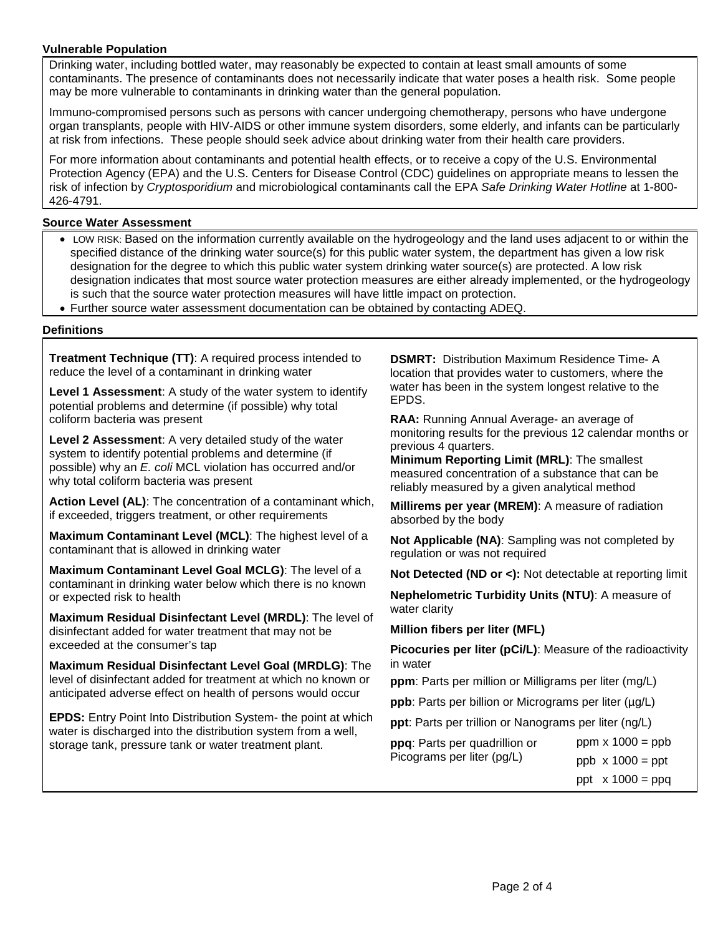# **Vulnerable Population**

Drinking water, including bottled water, may reasonably be expected to contain at least small amounts of some contaminants. The presence of contaminants does not necessarily indicate that water poses a health risk. Some people may be more vulnerable to contaminants in drinking water than the general population.

Immuno-compromised persons such as persons with cancer undergoing chemotherapy, persons who have undergone organ transplants, people with HIV-AIDS or other immune system disorders, some elderly, and infants can be particularly at risk from infections. These people should seek advice about drinking water from their health care providers.

For more information about contaminants and potential health effects, or to receive a copy of the U.S. Environmental Protection Agency (EPA) and the U.S. Centers for Disease Control (CDC) guidelines on appropriate means to lessen the risk of infection by *Cryptosporidium* and microbiological contaminants call the EPA *Safe Drinking Water Hotline* at 1-800- 426-4791.

### **Source Water Assessment**

- LOW RISK: Based on the information currently available on the hydrogeology and the land uses adjacent to or within the specified distance of the drinking water source(s) for this public water system, the department has given a low risk designation for the degree to which this public water system drinking water source(s) are protected. A low risk designation indicates that most source water protection measures are either already implemented, or the hydrogeology is such that the source water protection measures will have little impact on protection.
- Further source water assessment documentation can be obtained by contacting ADEQ.

#### **Definitions**

**Treatment Technique (TT)**: A required process intended to reduce the level of a contaminant in drinking water

**Level 1 Assessment**: A study of the water system to identify potential problems and determine (if possible) why total coliform bacteria was present

**Level 2 Assessment**: A very detailed study of the water system to identify potential problems and determine (if possible) why an *E. coli* MCL violation has occurred and/or why total coliform bacteria was present

**Action Level (AL)**: The concentration of a contaminant which, if exceeded, triggers treatment, or other requirements

**Maximum Contaminant Level (MCL)**: The highest level of a contaminant that is allowed in drinking water

**Maximum Contaminant Level Goal MCLG)**: The level of a contaminant in drinking water below which there is no known or expected risk to health

**Maximum Residual Disinfectant Level (MRDL)**: The level of disinfectant added for water treatment that may not be exceeded at the consumer's tap

**Maximum Residual Disinfectant Level Goal (MRDLG)**: The level of disinfectant added for treatment at which no known or anticipated adverse effect on health of persons would occur

**EPDS:** Entry Point Into Distribution System- the point at which water is discharged into the distribution system from a well, storage tank, pressure tank or water treatment plant.

**DSMRT:** Distribution Maximum Residence Time- A location that provides water to customers, where the water has been in the system longest relative to the EPDS.

**RAA:** Running Annual Average- an average of monitoring results for the previous 12 calendar months or previous 4 quarters.

**Minimum Reporting Limit (MRL)**: The smallest measured concentration of a substance that can be reliably measured by a given analytical method

**Millirems per year (MREM)**: A measure of radiation absorbed by the body

**Not Applicable (NA)**: Sampling was not completed by regulation or was not required

**Not Detected (ND or <):** Not detectable at reporting limit

**Nephelometric Turbidity Units (NTU)**: A measure of water clarity

#### **Million fibers per liter (MFL)**

**Picocuries per liter (pCi/L)**: Measure of the radioactivity in water

**ppm**: Parts per million or Milligrams per liter (mg/L)

**ppb**: Parts per billion or Micrograms per liter ( $\mu q/L$ )

**ppt**: Parts per trillion or Nanograms per liter (ng/L)

| ppq: Parts per quadrillion or | ppm $\times$ 1000 = ppb |
|-------------------------------|-------------------------|
| Picograms per liter (pg/L)    | $ppb \times 1000 = ppt$ |
|                               | ppt $\times$ 1000 = ppq |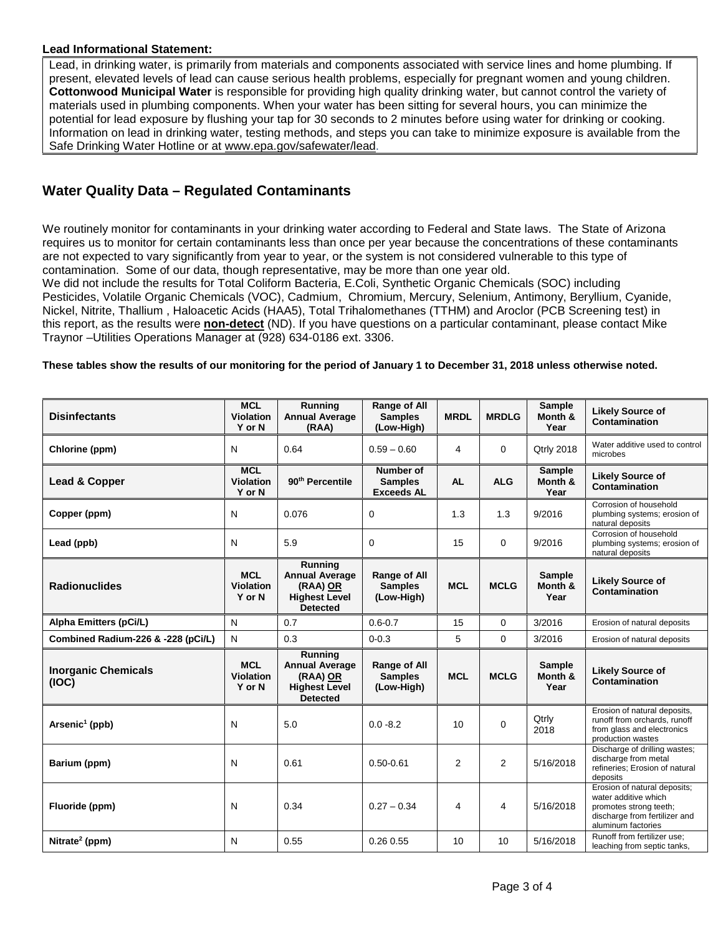## **Lead Informational Statement:**

Lead, in drinking water, is primarily from materials and components associated with service lines and home plumbing. If present, elevated levels of lead can cause serious health problems, especially for pregnant women and young children. **Cottonwood Municipal Water** is responsible for providing high quality drinking water, but cannot control the variety of materials used in plumbing components. When your water has been sitting for several hours, you can minimize the potential for lead exposure by flushing your tap for 30 seconds to 2 minutes before using water for drinking or cooking. Information on lead in drinking water, testing methods, and steps you can take to minimize exposure is available from the Safe Drinking Water Hotline or at [www.epa.gov/safewater/lead.](http://www.epa.gov/safewater/lead)

# **Water Quality Data – Regulated Contaminants**

We routinely monitor for contaminants in your drinking water according to Federal and State laws. The State of Arizona requires us to monitor for certain contaminants less than once per year because the concentrations of these contaminants are not expected to vary significantly from year to year, or the system is not considered vulnerable to this type of contamination. Some of our data, though representative, may be more than one year old.

We did not include the results for Total Coliform Bacteria, E.Coli, Synthetic Organic Chemicals (SOC) including Pesticides, Volatile Organic Chemicals (VOC), Cadmium, Chromium, Mercury, Selenium, Antimony, Beryllium, Cyanide, Nickel, Nitrite, Thallium , Haloacetic Acids (HAA5), Total Trihalomethanes (TTHM) and Aroclor (PCB Screening test) in this report, as the results were **non-detect** (ND). If you have questions on a particular contaminant, please contact Mike Traynor –Utilities Operations Manager at (928) 634-0186 ext. 3306.

#### **These tables show the results of our monitoring for the period of January 1 to December 31, 2018 unless otherwise noted.**

| <b>Disinfectants</b>                | <b>MCL</b><br>Violation<br>Y or N        | Running<br><b>Annual Average</b><br>(RAA)                                               | Range of All<br><b>Samples</b><br>(Low-High)        | <b>MRDL</b> | <b>MRDLG</b>   | Sample<br>Month &<br>Year        | <b>Likely Source of</b><br>Contamination                                                                                              |
|-------------------------------------|------------------------------------------|-----------------------------------------------------------------------------------------|-----------------------------------------------------|-------------|----------------|----------------------------------|---------------------------------------------------------------------------------------------------------------------------------------|
| Chlorine (ppm)                      | N                                        | 0.64                                                                                    | $0.59 - 0.60$                                       | 4           | $\mathbf 0$    | Qtrly 2018                       | Water additive used to control<br>microbes                                                                                            |
| Lead & Copper                       | <b>MCL</b><br><b>Violation</b><br>Y or N | 90 <sup>th</sup> Percentile                                                             | Number of<br><b>Samples</b><br><b>Exceeds AL</b>    | <b>AL</b>   | <b>ALG</b>     | <b>Sample</b><br>Month &<br>Year | <b>Likely Source of</b><br><b>Contamination</b>                                                                                       |
| Copper (ppm)                        | N                                        | 0.076                                                                                   | 0                                                   | 1.3         | 1.3            | 9/2016                           | Corrosion of household<br>plumbing systems; erosion of<br>natural deposits                                                            |
| Lead (ppb)                          | N                                        | 5.9                                                                                     | 0                                                   | 15          | $\Omega$       | 9/2016                           | Corrosion of household<br>plumbing systems; erosion of<br>natural deposits                                                            |
| <b>Radionuclides</b>                | <b>MCL</b><br>Violation<br>Y or N        | Running<br><b>Annual Average</b><br>(RAA) OR<br><b>Highest Level</b><br><b>Detected</b> | <b>Range of All</b><br><b>Samples</b><br>(Low-High) | <b>MCL</b>  | <b>MCLG</b>    | <b>Sample</b><br>Month &<br>Year | <b>Likely Source of</b><br>Contamination                                                                                              |
| Alpha Emitters (pCi/L)              | N                                        | 0.7                                                                                     | $0.6 - 0.7$                                         | 15          | 0              | 3/2016                           | Erosion of natural deposits                                                                                                           |
| Combined Radium-226 & -228 (pCi/L)  | N                                        | 0.3                                                                                     | $0 - 0.3$                                           | 5           | $\mathbf 0$    | 3/2016                           | Erosion of natural deposits                                                                                                           |
| <b>Inorganic Chemicals</b><br>(IOC) | <b>MCL</b><br><b>Violation</b><br>Y or N | Running<br><b>Annual Average</b><br>(RAA) OR<br><b>Highest Level</b><br><b>Detected</b> | Range of All<br><b>Samples</b><br>(Low-High)        | <b>MCL</b>  | <b>MCLG</b>    | <b>Sample</b><br>Month &<br>Year | <b>Likely Source of</b><br>Contamination                                                                                              |
| Arsenic <sup>1</sup> (ppb)          | N                                        | 5.0                                                                                     | $0.0 - 8.2$                                         | 10          | 0              | Qtrly<br>2018                    | Erosion of natural deposits,<br>runoff from orchards, runoff<br>from glass and electronics<br>production wastes                       |
| Barium (ppm)                        | N                                        | 0.61                                                                                    | $0.50 - 0.61$                                       | 2           | $\overline{2}$ | 5/16/2018                        | Discharge of drilling wastes;<br>discharge from metal<br>refineries; Erosion of natural<br>deposits                                   |
| Fluoride (ppm)                      | N                                        | 0.34                                                                                    | $0.27 - 0.34$                                       | 4           | 4              | 5/16/2018                        | Erosion of natural deposits;<br>water additive which<br>promotes strong teeth;<br>discharge from fertilizer and<br>aluminum factories |
| Nitrate <sup>2</sup> (ppm)          | N                                        | 0.55                                                                                    | 0.260.55                                            | 10          | 10             | 5/16/2018                        | Runoff from fertilizer use:<br>leaching from septic tanks,                                                                            |